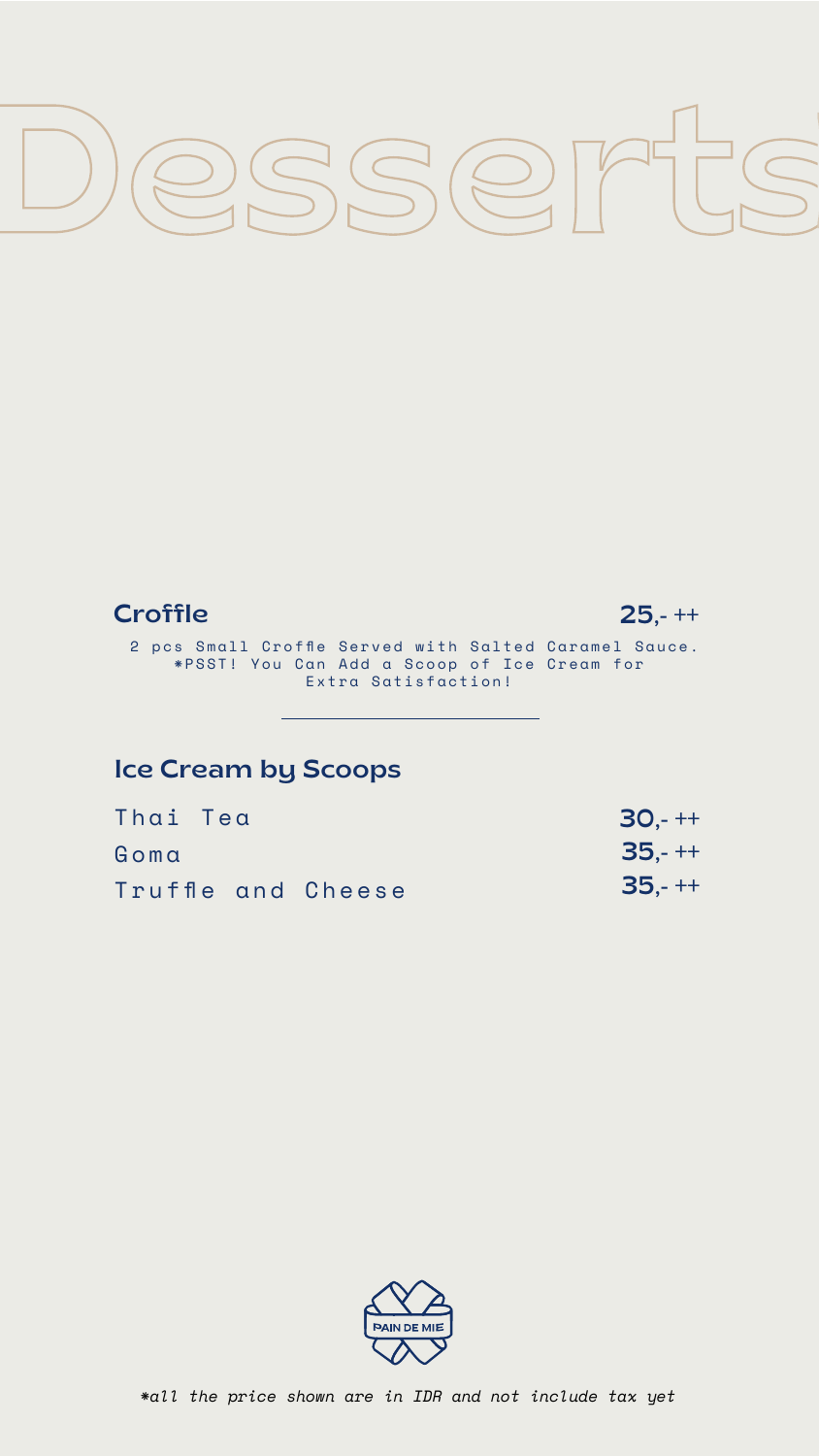

## **Croffle**

 2 pcs Small Croffle Served with Salted Caramel Sauce. \*PSST! You Can Add a Scoop of Ice Cream for Extra Satisfaction!





### Ice Cream by Scoops

Thai Tea

Goma

Truffle and Cheese

30,- ++ 35,- ++ 35,- ++



### *\*all the price shown are in IDR and not include tax yet*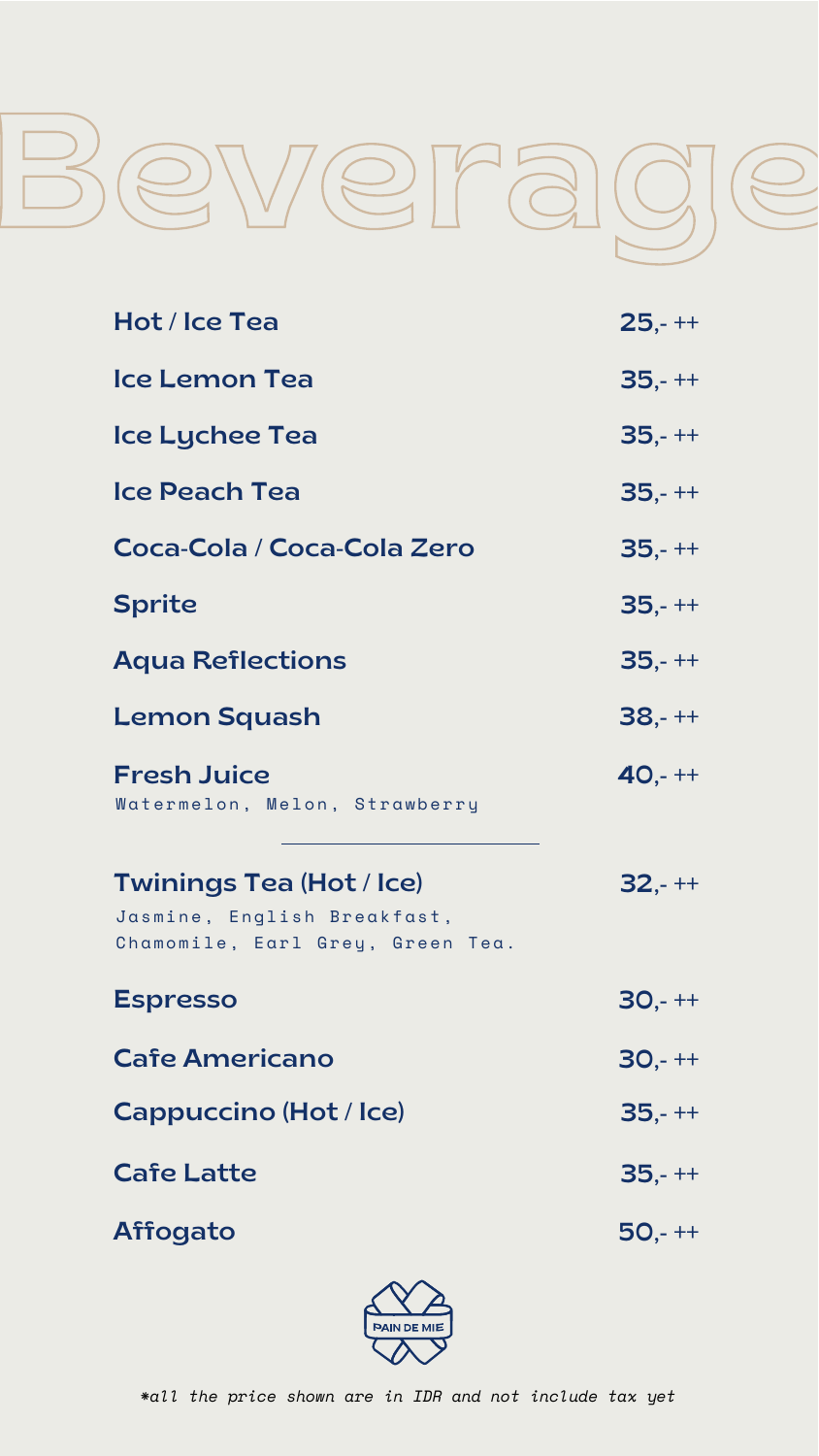#### *\*all the price shown are in IDR and not include tax yet*



| Hot / Ice Tea              | $25 - + +$ |
|----------------------------|------------|
| Ice Lemon Tea              | $35,-++$   |
| <b>Ice Lychee Tea</b>      | $35,-++$   |
| Ice Peach Tea              | $35,-++$   |
| Coca-Cola / Coca-Cola Zero | $35,-++$   |
| <b>Sprite</b>              | $35,-++$   |
| <b>Aqua Reflections</b>    | $35 - + +$ |

| <b>Lemon Squash</b>                                                                                | $38,-++$   |
|----------------------------------------------------------------------------------------------------|------------|
| <b>Fresh Juice</b><br>Watermelon, Melon, Strawberry                                                | $40 + +$   |
| <b>Twinings Tea (Hot / Ice)</b><br>Jasmine, English Breakfast,<br>Chamomile, Earl Grey, Green Tea. | $32 - + +$ |
| <b>Espresso</b>                                                                                    | $30 - + +$ |
| <b>Cafe Americano</b>                                                                              | $30 - + +$ |
| <b>Cappuccino (Hot / Ice)</b>                                                                      | $35,-++$   |
| <b>Cafe Latte</b>                                                                                  | $35,-++$   |
| <b>Affogato</b>                                                                                    | $50 - + +$ |